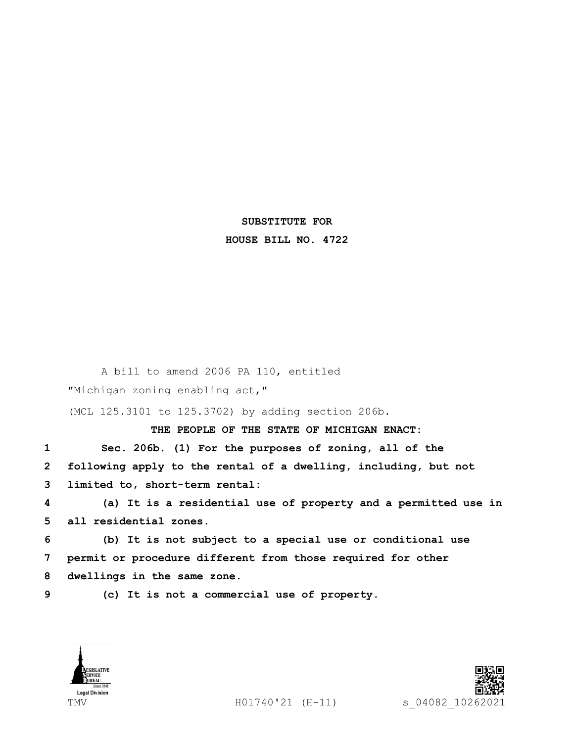## **SUBSTITUTE FOR HOUSE BILL NO. 4722**

A bill to amend 2006 PA 110, entitled "Michigan zoning enabling act,"

(MCL 125.3101 to 125.3702) by adding section 206b.

**THE PEOPLE OF THE STATE OF MICHIGAN ENACT:**

**1 Sec. 206b. (1) For the purposes of zoning, all of the 2 following apply to the rental of a dwelling, including, but not 3 limited to, short-term rental:**

**4 (a) It is a residential use of property and a permitted use in 5 all residential zones.**

**6 (b) It is not subject to a special use or conditional use 7 permit or procedure different from those required for other 8 dwellings in the same zone.**



**9 (c) It is not a commercial use of property.**



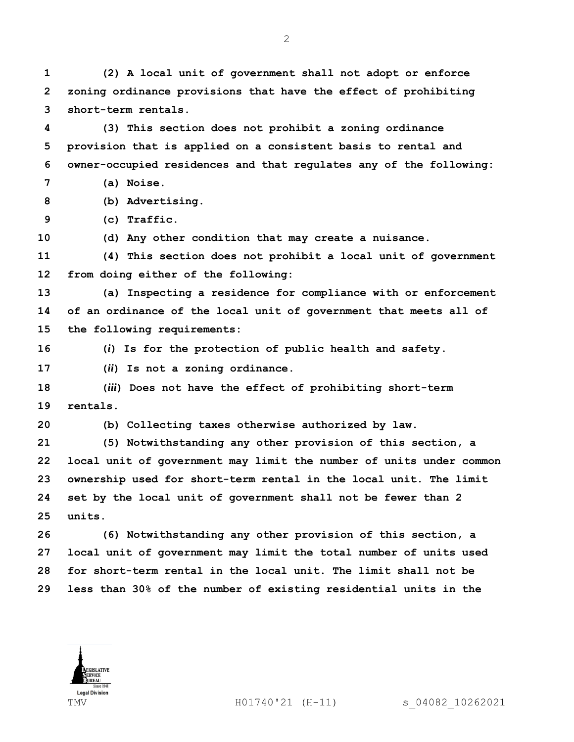**(2) A local unit of government shall not adopt or enforce zoning ordinance provisions that have the effect of prohibiting short-term rentals.**

 **(3) This section does not prohibit a zoning ordinance provision that is applied on a consistent basis to rental and owner-occupied residences and that regulates any of the following:**

**(a) Noise.**

**(b) Advertising.**

**(c) Traffic.**

**(d) Any other condition that may create a nuisance.**

 **(4) This section does not prohibit a local unit of government from doing either of the following:**

 **(a) Inspecting a residence for compliance with or enforcement of an ordinance of the local unit of government that meets all of the following requirements:**

**(***i***) Is for the protection of public health and safety.**

**(***ii***) Is not a zoning ordinance.**

 **(***iii***) Does not have the effect of prohibiting short-term rentals.**

**(b) Collecting taxes otherwise authorized by law.**

 **(5) Notwithstanding any other provision of this section, a local unit of government may limit the number of units under common ownership used for short-term rental in the local unit. The limit set by the local unit of government shall not be fewer than 2 units.**

 **(6) Notwithstanding any other provision of this section, a local unit of government may limit the total number of units used for short-term rental in the local unit. The limit shall not be less than 30% of the number of existing residential units in the**